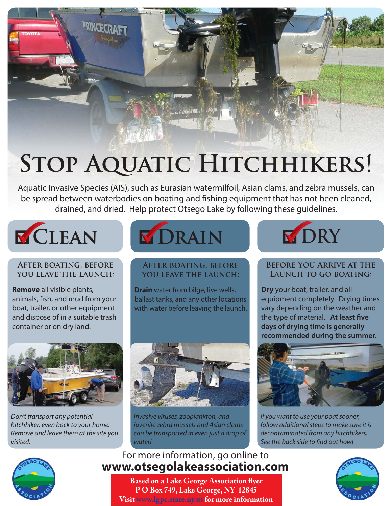## **Stop Aquatic Hitchhikers!**

Aquatic Invasive Species (AIS), such as Eurasian watermilfoil, Asian clams, and zebra mussels, can be spread between waterbodies on boating and fishing equipment that has not been cleaned, drained, and dried. Help protect Otsego Lake by following these guidelines.

#### **After boating, before you leave the launch:**

**Remove** all visible plants, animals, fish, and mud from your boat, trailer, or other equipment and dispose of in a suitable trash container or on dry land.



Don't transport any potential hitchhiker, even back to your home. Remove and leave them at the site you visited.

# **CLEAN DRAIN DRY**

#### **After boating, before you leave the launch:**

**Drain** water from bilge, live wells, ballast tanks, and any other locations with water before leaving the launch.



Invasive viruses, zooplankton, and juvenile zebra mussels and Asian clams can be transported in even just a drop of water!

### For more information, go online to **www.otsegolakeassociation.com**

**Based on a Lake George Association flyer P O Box 749, Lake George, NY 12845 Visit www.lgpc.state.ny.us for more information**



#### **Before You Arrive at the Launch to go boating:**

**Dry** your boat, trailer, and all equipment completely. Drying times vary depending on the weather and the type of material. At least five **days of drying time is generally recommended during the summer.**



If you want to use your boat sooner, follow additional steps to make sure it is decontaminated from any hitchhikers. See the back side to find out how!